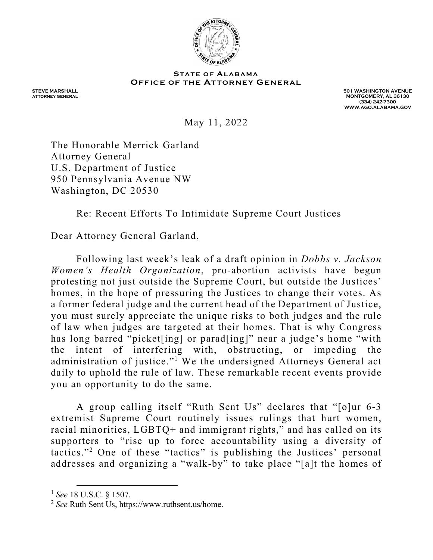

## OFFICE OF THE ATTORNEY GENERAL<br>
May 11, 2022<br>
May 11, 2022

STEVE MARSHALL

STEVE MARSHALL<br>ATTORNEY GENERAL NASHINGTON AVENUE NASHINGTON AVENUE NASHINGTON AVENUE NASHINGTON AVENUE NASHINGTON AVENUE MONTGOMERY, AL 36130 (334) 242-7300 WWW.AGO.ALABAMA.GOV

May 11, 2022

The Honorable Merrick Garland Attorney General U.S. Department of Justice 950 Pennsylvania Avenue NW Washington, DC 20530

Re: Recent Efforts To Intimidate Supreme Court Justices

Dear Attorney General Garland,

Following last week's leak of a draft opinion in Dobbs v. Jackson Women's Health Organization, pro-abortion activists have begun protesting not just outside the Supreme Court, but outside the Justices' homes, in the hope of pressuring the Justices to change their votes. As a former federal judge and the current head of the Department of Justice, you must surely appreciate the unique risks to both judges and the rule of law when judges are targeted at their homes. That is why Congress has long barred "picket[ing] or parad[ing]" near a judge's home "with the intent of interfering with, obstructing, or impeding the administration of justice."<sup>1</sup> We the undersigned Attorneys General act daily to uphold the rule of law. These remarkable recent events provide you an opportunity to do the same.

A group calling itself "Ruth Sent Us" declares that "[o]ur 6-3 extremist Supreme Court routinely issues rulings that hurt women, racial minorities, LGBTQ+ and immigrant rights," and has called on its supporters to "rise up to force accountability using a diversity of tactics."<sup>2</sup> One of these "tactics" is publishing the Justices' personal addresses and organizing a "walk-by" to take place "[a]t the homes of

 $1$  See 18 U.S.C. § 1507.

<sup>2</sup> See Ruth Sent Us, https://www.ruthsent.us/home.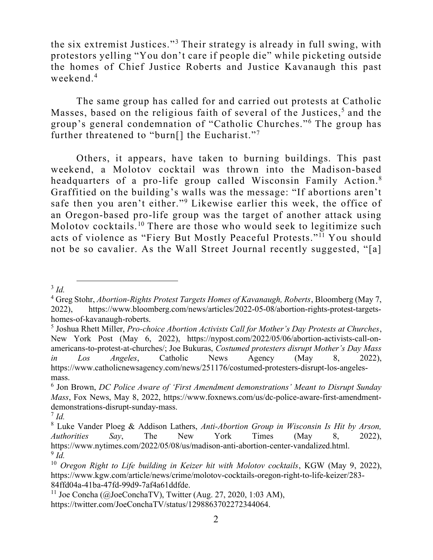the six extremist Justices."<sup>3</sup> Their strategy is already in full swing, with protestors yelling "You don't care if people die" while picketing outside the homes of Chief Justice Roberts and Justice Kavanaugh this past weekend. $4$ 

The same group has called for and carried out protests at Catholic Masses, based on the religious faith of several of the Justices,<sup>5</sup> and the group's general condemnation of "Catholic Churches."<sup>6</sup> The group has further threatened to "burn[] the Eucharist."7

Others, it appears, have taken to burning buildings. This past weekend, a Molotov cocktail was thrown into the Madison-based headquarters of a pro-life group called Wisconsin Family Action.<sup>8</sup> Graffitied on the building's walls was the message: "If abortions aren't safe then you aren't either."<sup>9</sup> Likewise earlier this week, the office of an Oregon-based pro-life group was the target of another attack using Molotov cocktails.<sup>10</sup> There are those who would seek to legitimize such acts of violence as "Fiery But Mostly Peaceful Protests."<sup>11</sup> You should not be so cavalier. As the Wall Street Journal recently suggested, "[a]

 $3$  Id.

<sup>&</sup>lt;sup>4</sup> Greg Stohr, Abortion-Rights Protest Targets Homes of Kavanaugh, Roberts, Bloomberg (May 7, 2022), https://www.bloomberg.com/news/articles/2022-05-08/abortion-rights-protest-targetshomes-of-kavanaugh-roberts.

 $<sup>5</sup>$  Joshua Rhett Miller, *Pro-choice Abortion Activists Call for Mother's Day Protests at Churches*,</sup> New York Post (May 6, 2022), https://nypost.com/2022/05/06/abortion-activists-call-onamericans-to-protest-at-churches/; Joe Bukuras, Costumed protesters disrupt Mother's Day Mass in Los Angeles, Catholic News Agency (May 8, 2022), https://www.catholicnewsagency.com/news/251176/costumed-protesters-disrupt-los-angelesmass.

 $6$  Jon Brown, DC Police Aware of 'First Amendment demonstrations' Meant to Disrupt Sunday Mass, Fox News, May 8, 2022, https://www.foxnews.com/us/dc-police-aware-first-amendmentdemonstrations-disrupt-sunday-mass.

 $^7$  Id.

 $8$  Luke Vander Ploeg & Addison Lathers, Anti-Abortion Group in Wisconsin Is Hit by Arson, Authorities Say, The New York Times (May 8, 2022), https://www.nytimes.com/2022/05/08/us/madison-anti-abortion-center-vandalized.html.  $9$  Id.

 $10$  Oregon Right to Life building in Keizer hit with Molotov cocktails, KGW (May 9, 2022), https://www.kgw.com/article/news/crime/molotov-cocktails-oregon-right-to-life-keizer/283- 84ffd04a-41ba-47fd-99d9-7af4a61ddfde.

<sup>&</sup>lt;sup>11</sup> Joe Concha (@JoeConchaTV), Twitter (Aug. 27, 2020, 1:03 AM), https://twitter.com/JoeConchaTV/status/1298863702272344064.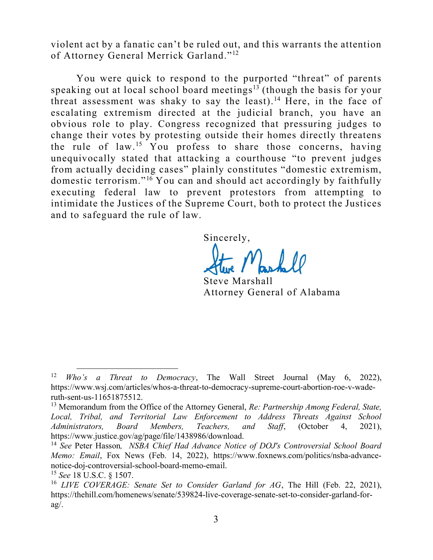violent act by a fanatic can't be ruled out, and this warrants the attention of Attorney General Merrick Garland."<sup>12</sup>

You were quick to respond to the purported "threat" of parents speaking out at local school board meetings<sup>13</sup> (though the basis for your threat assessment was shaky to say the least).<sup>14</sup> Here, in the face of escalating extremism directed at the judicial branch, you have an obvious role to play. Congress recognized that pressuring judges to change their votes by protesting outside their homes directly threatens the rule of law.<sup>15</sup> You profess to share those concerns, having unequivocally stated that attacking a courthouse "to prevent judges from actually deciding cases" plainly constitutes "domestic extremism, domestic terrorism."<sup>16</sup> You can and should act accordingly by faithfully executing federal law to prevent protestors from attempting to intimidate the Justices of the Supreme Court, both to protect the Justices and to safeguard the rule of law.

Sincerely,

Steve Marshall Attorney General of Alabama

<sup>&</sup>lt;sup>12</sup> *Who's a Threat to Democracy*, The Wall Street Journal (May 6, 2022), https://www.wsj.com/articles/whos-a-threat-to-democracy-supreme-court-abortion-roe-v-waderuth-sent-us-11651875512.

<sup>&</sup>lt;sup>13</sup> Memorandum from the Office of the Attorney General, Re: Partnership Among Federal, State, Local, Tribal, and Territorial Law Enforcement to Address Threats Against School Administrators, Board Members, Teachers, and Staff, (October 4, 2021), https://www.justice.gov/ag/page/file/1438986/download.

<sup>&</sup>lt;sup>14</sup> See Peter Hasson, *NSBA Chief Had Advance Notice of DOJ's Controversial School Board* Memo: Email, Fox News (Feb. 14, 2022), https://www.foxnews.com/politics/nsba-advancenotice-doj-controversial-school-board-memo-email.

 $15$  See 18 U.S.C. § 1507.

<sup>&</sup>lt;sup>16</sup> LIVE COVERAGE: Senate Set to Consider Garland for AG, The Hill (Feb. 22, 2021), https://thehill.com/homenews/senate/539824-live-coverage-senate-set-to-consider-garland-for $a\alpha/$ .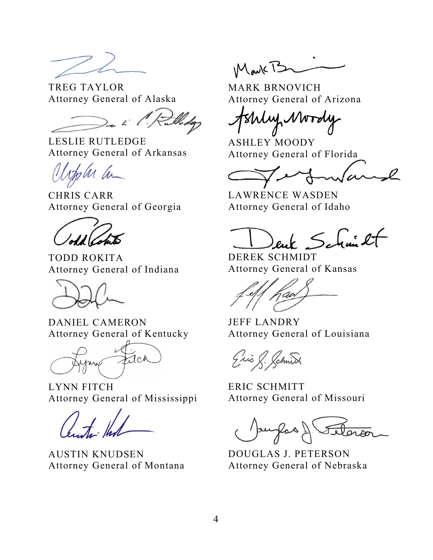TREG TAYLOR Attorney General of Alaska

LESLIE RUTLEDGE Attorney General of Arkansas

sler ha

CHRIS CARR Attorney General of Georgia

TODD ROKITA Attorney General of Indiana

DANIEL CAMERON Attorney General of Kentucky

 $1c<sub>k</sub>$ 

LYNN FITCH Attorney General of Mississippi

AUSTIN KNUDSEN Attorney General of Montana

Mark B

MARK BRNOVICH Attorney General of Arizona

Why Mordy

ASHLEY MOODY Attorney General of Florida

LAWRENCE WASDEN Attorney General of Idaho

enk Schmilt

DEREK SCHMIDT Attorney General of Kansas

JEFF LANDRY Attorney General of Louisiana

Eric & Schnid

ERIC SCHMITT Attorney General of Missouri

DOUGLAS J. PETERSON Attorney General of Nebraska